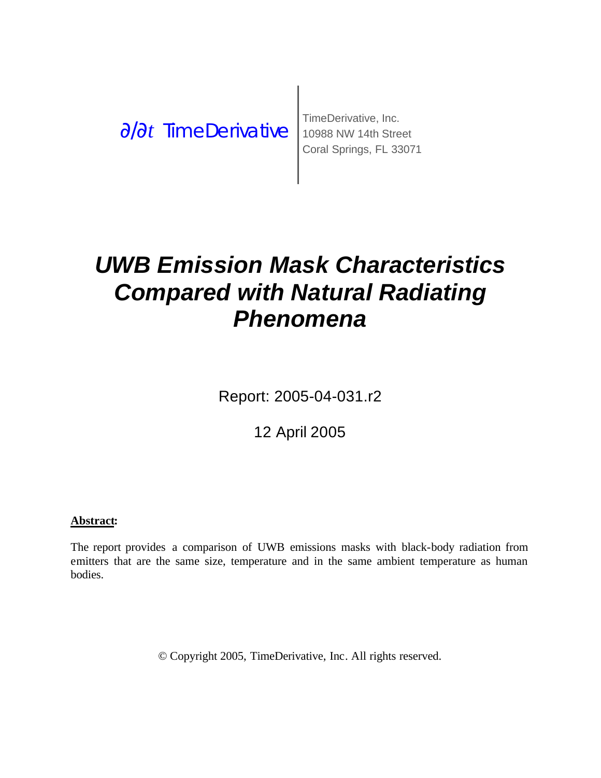∂/∂t *TimeDerivative* 10988 NW 14th Street

TimeDerivative, Inc. Coral Springs, FL 33071

# *UWB Emission Mask Characteristics Compared with Natural Radiating Phenomena*

Report: 2005-04-031.r2

12 April 2005

#### **Abstract:**

The report provides a comparison of UWB emissions masks with black-body radiation from emitters that are the same size, temperature and in the same ambient temperature as human bodies.

© Copyright 2005, TimeDerivative, Inc. All rights reserved.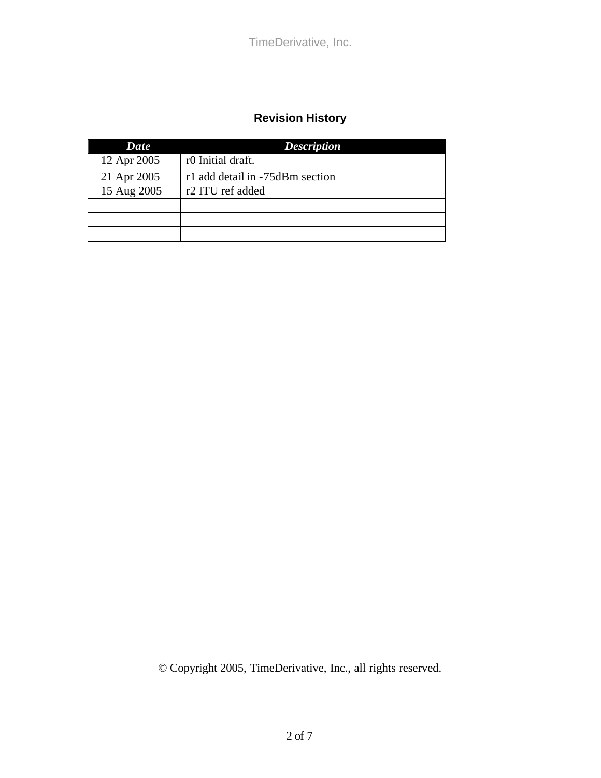#### **Revision History**

| Date        | <b>Description</b>              |
|-------------|---------------------------------|
| 12 Apr 2005 | r0 Initial draft.               |
| 21 Apr 2005 | r1 add detail in -75dBm section |
| 15 Aug 2005 | r2 ITU ref added                |
|             |                                 |
|             |                                 |
|             |                                 |

© Copyright 2005, TimeDerivative, Inc., all rights reserved.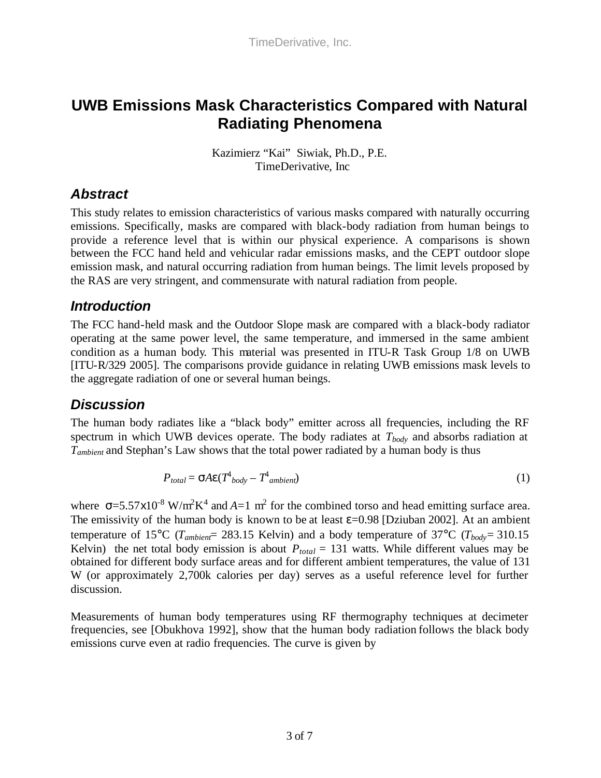# **UWB Emissions Mask Characteristics Compared with Natural Radiating Phenomena**

Kazimierz "Kai" Siwiak, Ph.D., P.E. TimeDerivative, Inc

#### *Abstract*

This study relates to emission characteristics of various masks compared with naturally occurring emissions. Specifically, masks are compared with black-body radiation from human beings to provide a reference level that is within our physical experience. A comparisons is shown between the FCC hand held and vehicular radar emissions masks, and the CEPT outdoor slope emission mask, and natural occurring radiation from human beings. The limit levels proposed by the RAS are very stringent, and commensurate with natural radiation from people.

### *Introduction*

The FCC hand-held mask and the Outdoor Slope mask are compared with a black-body radiator operating at the same power level, the same temperature, and immersed in the same ambient condition as a human body. This material was presented in ITU-R Task Group 1/8 on UWB [ITU-R/329 2005]. The comparisons provide guidance in relating UWB emissions mask levels to the aggregate radiation of one or several human beings.

## *Discussion*

The human body radiates like a "black body" emitter across all frequencies, including the RF spectrum in which UWB devices operate. The body radiates at *Tbody* and absorbs radiation at *Tambient* and Stephan's Law shows that the total power radiated by a human body is thus

$$
P_{total} = \mathbf{S}A\mathbf{\varepsilon}(T^4_{body} - T^4_{ambient})\tag{1}
$$

where  $s = 5.57 \times 10^{-8}$  W/m<sup>2</sup>K<sup>4</sup> and A=1 m<sup>2</sup> for the combined torso and head emitting surface area. The emissivity of the human body is known to be at least  $\varepsilon$ =0.98 [Dziuban 2002]. At an ambient temperature of 15°C ( $T_{ambien}$  = 283.15 Kelvin) and a body temperature of 37°C ( $T_{body}$  = 310.15 Kelvin) the net total body emission is about  $P_{total} = 131$  watts. While different values may be obtained for different body surface areas and for different ambient temperatures, the value of 131 W (or approximately 2,700k calories per day) serves as a useful reference level for further discussion.

Measurements of human body temperatures using RF thermography techniques at decimeter frequencies, see [Obukhova 1992], show that the human body radiation follows the black body emissions curve even at radio frequencies. The curve is given by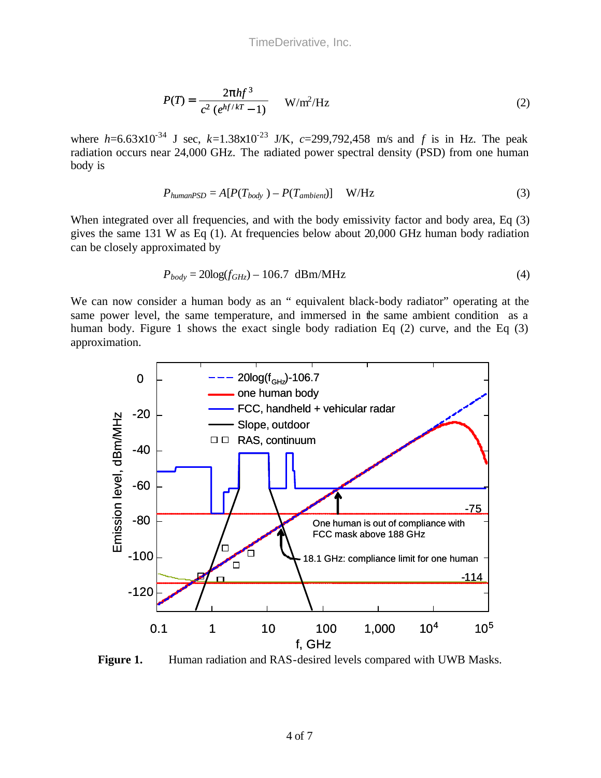$$
P(T) = \frac{2\pi hf^3}{c^2 (e^{hf/kT} - 1)}
$$
 W/m<sup>2</sup>/Hz (2)

where  $h=6.63\times10^{-34}$  J sec,  $k=1.38\times10^{-23}$  J/K,  $c=299,792,458$  m/s and *f* is in Hz. The peak radiation occurs near 24,000 GHz. The radiated power spectral density (PSD) from one human body is

$$
P_{humanPSD} = A[P(T_{body}) - P(T_{ambient})] \quad W/Hz
$$
\n(3)

When integrated over all frequencies, and with the body emissivity factor and body area, Eq (3) gives the same 131 W as Eq (1). At frequencies below about 20,000 GHz human body radiation can be closely approximated by

$$
P_{body} = 20\log(f_{GHz}) - 106.7 \text{ dBm} / \text{MHz}
$$
\n
$$
\tag{4}
$$

We can now consider a human body as an " equivalent black-body radiator" operating at the same power level, the same temperature, and immersed in the same ambient condition as a human body. Figure 1 shows the exact single body radiation Eq (2) curve, and the Eq (3) approximation.



**Figure 1.** Human radiation and RAS-desired levels compared with UWB Masks.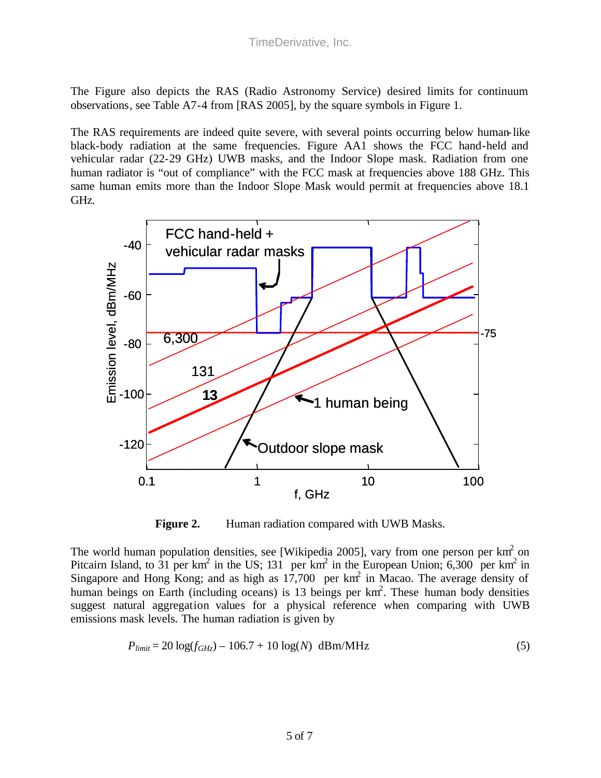The Figure also depicts the RAS (Radio Astronomy Service) desired limits for continuum observations, see Table A7-4 from [RAS 2005], by the square symbols in Figure 1.

The RAS requirements are indeed quite severe, with several points occurring below human-like black-body radiation at the same frequencies. Figure AA1 shows the FCC hand-held and vehicular radar (22-29 GHz) UWB masks, and the Indoor Slope mask. Radiation from one human radiator is "out of compliance" with the FCC mask at frequencies above 188 GHz. This same human emits more than the Indoor Slope Mask would permit at frequencies above 18.1 GHz.



Figure 2. Human radiation compared with UWB Masks.

The world human population densities, see [Wikipedia 2005], vary from one person per  $km^2$  on Pitcairn Island, to 31 per km<sup>2</sup> in the US; 131 per km<sup>2</sup> in the European Union; 6,300 per km<sup>2</sup> in Singapore and Hong Kong; and as high as  $17,700$  per km<sup>2</sup> in Macao. The average density of human beings on Earth (including oceans) is 13 beings per km<sup>2</sup>. These human body densities suggest natural aggregation values for a physical reference when comparing with UWB emissions mask levels. The human radiation is given by

$$
P_{limit} = 20 \log(f_{GHz}) - 106.7 + 10 \log(N) \, \text{dBm} / \text{MHz}
$$
\n(5)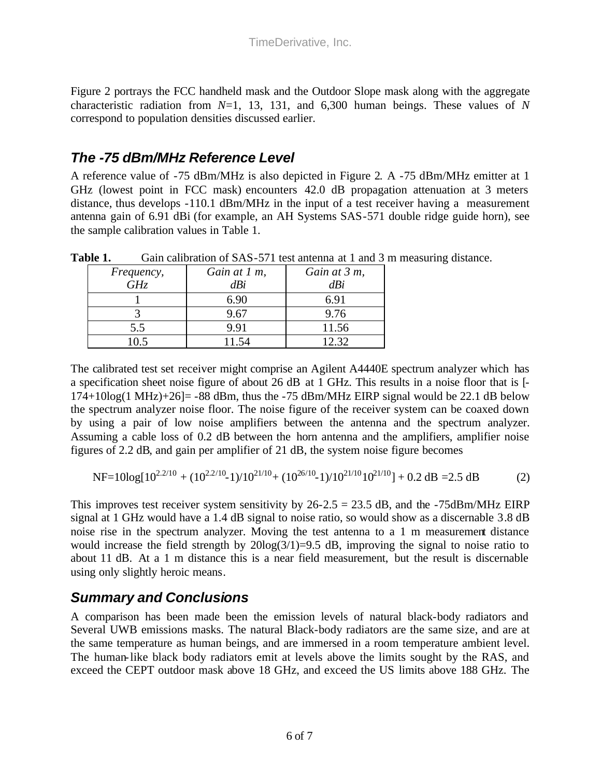Figure 2 portrays the FCC handheld mask and the Outdoor Slope mask along with the aggregate characteristic radiation from *N*=1, 13, 131, and 6,300 human beings. These values of *N* correspond to population densities discussed earlier.

### *The -75 dBm/MHz Reference Level*

A reference value of -75 dBm/MHz is also depicted in Figure 2. A -75 dBm/MHz emitter at 1 GHz (lowest point in FCC mask) encounters 42.0 dB propagation attenuation at 3 meters distance, thus develops -110.1 dBm/MHz in the input of a test receiver having a measurement antenna gain of 6.91 dBi (for example, an AH Systems SAS-571 double ridge guide horn), see the sample calibration values in Table 1.

| .          | Saill Callotation of BLW 971 toot antonna at 1 and 9 |              |
|------------|------------------------------------------------------|--------------|
| Frequency, | Gain at 1 m,                                         | Gain at 3 m, |
| GHz        | dBi                                                  | dBi          |
|            | 6.90                                                 | 6.91         |
|            | 9.67                                                 | 9.76         |
| 5.5        | 9.91                                                 | 11.56        |
| 10.5       | 11.54                                                | 12.32.       |

Table 1. Gain calibration of SAS-571 test antenna at 1 and 3 m measuring distance.

The calibrated test set receiver might comprise an Agilent A4440E spectrum analyzer which has a specification sheet noise figure of about 26 dB at 1 GHz. This results in a noise floor that is [-  $174+10\log(1 \text{ MHz})+26$  = -88 dBm, thus the -75 dBm/MHz EIRP signal would be 22.1 dB below the spectrum analyzer noise floor. The noise figure of the receiver system can be coaxed down by using a pair of low noise amplifiers between the antenna and the spectrum analyzer. Assuming a cable loss of 0.2 dB between the horn antenna and the amplifiers, amplifier noise figures of 2.2 dB, and gain per amplifier of 21 dB, the system noise figure becomes

NF=10log[102.2/10 + (102.2/10 -1)/1021/10+ (1026/10 -1)/1021/101021/10] + 0.2 dB =2.5 dB (2)

This improves test receiver system sensitivity by  $26-2.5 = 23.5$  dB, and the  $-75$ dBm/MHz EIRP signal at 1 GHz would have a 1.4 dB signal to noise ratio, so would show as a discernable 3.8 dB noise rise in the spectrum analyzer. Moving the test antenna to a 1 m measurement distance would increase the field strength by  $20\log(3/1)=9.5$  dB, improving the signal to noise ratio to about 11 dB. At a 1 m distance this is a near field measurement, but the result is discernable using only slightly heroic means.

#### *Summary and Conclusions*

A comparison has been made been the emission levels of natural black-body radiators and Several UWB emissions masks. The natural Black-body radiators are the same size, and are at the same temperature as human beings, and are immersed in a room temperature ambient level. The human-like black body radiators emit at levels above the limits sought by the RAS, and exceed the CEPT outdoor mask above 18 GHz, and exceed the US limits above 188 GHz. The